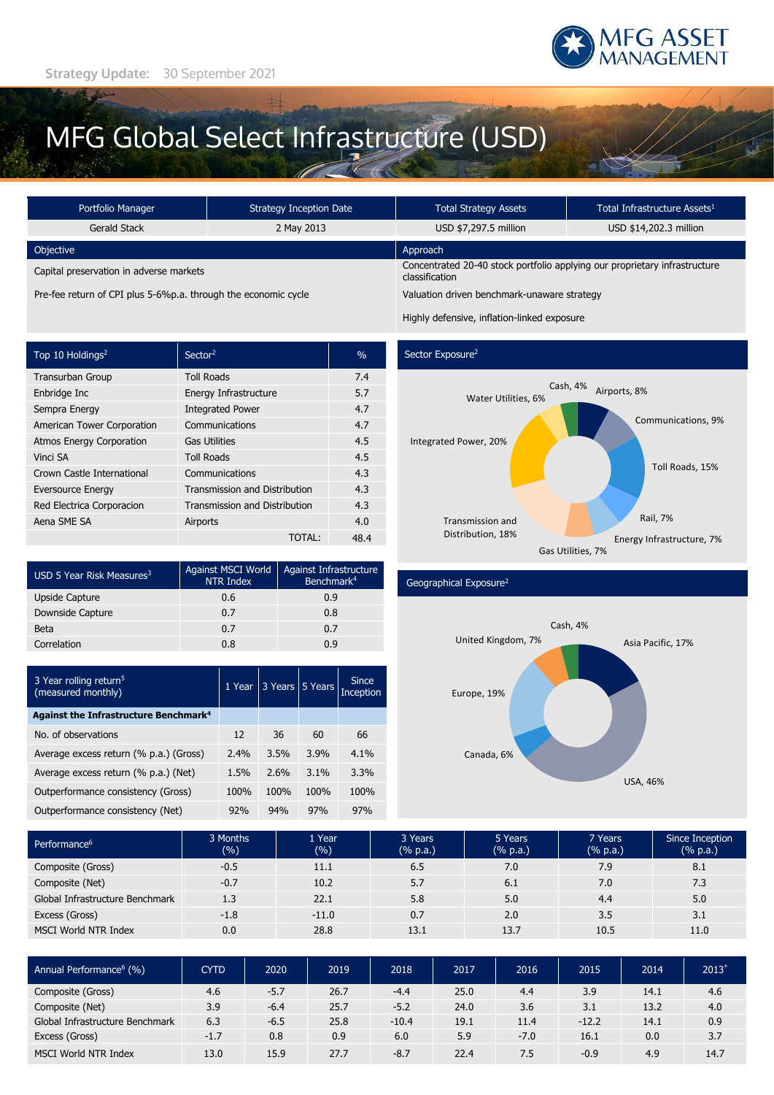

# MFG Global Select Infrastructure (USD)

| <b>Strategy Inception Date</b><br>Portfolio Manager            |            | <b>Total Strategy Assets</b>                                                                 | Total Infrastructure Assets <sup>1</sup> |  |  |
|----------------------------------------------------------------|------------|----------------------------------------------------------------------------------------------|------------------------------------------|--|--|
| Gerald Stack                                                   | 2 May 2013 | USD \$7,297.5 million                                                                        | USD \$14,202.3 million                   |  |  |
| Objective                                                      |            | Approach                                                                                     |                                          |  |  |
| Capital preservation in adverse markets                        |            | Concentrated 20-40 stock portfolio applying our proprietary infrastructure<br>classification |                                          |  |  |
| Pre-fee return of CPI plus 5-6%p.a. through the economic cycle |            | Valuation driven benchmark-unaware strategy                                                  |                                          |  |  |

Highly defensive, inflation-linked exposure

| Top 10 Holdings <sup>2</sup>    | Sector <sup>2</sup>                  | $\%$ |
|---------------------------------|--------------------------------------|------|
| <b>Transurban Group</b>         | <b>Toll Roads</b>                    | 7.4  |
| Enbridge Inc                    | Energy Infrastructure                | 5.7  |
| Sempra Energy                   | <b>Integrated Power</b>              | 4.7  |
| American Tower Corporation      | Communications                       | 4.7  |
| <b>Atmos Energy Corporation</b> | <b>Gas Utilities</b>                 | 4.5  |
| Vinci SA                        | <b>Toll Roads</b>                    | 4.5  |
| Crown Castle International      | Communications                       | 4.3  |
| <b>Eversource Energy</b>        | <b>Transmission and Distribution</b> | 4.3  |
| Red Electrica Corporacion       | <b>Transmission and Distribution</b> | 4.3  |
| Aena SME SA                     | Airports                             | 4.0  |
|                                 | TOTAL:                               | 48.4 |

| USD 5 Year Risk Measures <sup>3</sup> | Against MSCI World<br>NTR Index | <b>Against Infrastructure</b><br>Benchmark <sup>4</sup> |  |  |
|---------------------------------------|---------------------------------|---------------------------------------------------------|--|--|
| Upside Capture                        | 0.6                             | 0.9                                                     |  |  |
| Downside Capture                      | 0.7                             | 0.8                                                     |  |  |
| Beta                                  | 0.7                             | 0.7                                                     |  |  |
| Correlation                           | 0.8                             | n q                                                     |  |  |

| 3 Year rolling return <sup>5</sup><br>(measured monthly) | 1 Year | 3 Years | 5 Years | <b>Since</b><br><b>Inception</b> |
|----------------------------------------------------------|--------|---------|---------|----------------------------------|
| Against the Infrastructure Benchmark <sup>4</sup>        |        |         |         |                                  |
| No. of observations                                      | 12     | 36      | 60      | 66                               |
| Average excess return (% p.a.) (Gross)                   | 2.4%   | 3.5%    | 3.9%    | 4.1%                             |
| Average excess return (% p.a.) (Net)                     | 1.5%   | 2.6%    | $3.1\%$ | 3.3%                             |
| Outperformance consistency (Gross)                       | 100%   | 100%    | 100%    | 100%                             |
| Outperformance consistency (Net)                         | 92%    | 94%     | 97%     | 97%                              |

## Sector Exposure<sup>2</sup>



### Geographical Exposure<sup>2</sup>



| Performance <sup>6</sup>        | 3 Months<br>(%) | 1 Year<br>(%) | 3 Years<br>(% p.a.) | 5 Years<br>(% p.a.) | 7 Years<br>(% p.a.) | Since Inception<br>(% p.a.) |
|---------------------------------|-----------------|---------------|---------------------|---------------------|---------------------|-----------------------------|
| Composite (Gross)               | $-0.5$          | 11.1          | 6.5                 | 7.0                 | 7.9                 | 8.1                         |
| Composite (Net)                 | $-0.7$          | 10.2          | 5.7                 | 6.1                 | 7.0                 | 7.3                         |
| Global Infrastructure Benchmark | 1.3             | 22.1          | 5.8                 | 5.0                 | 4.4                 | 5.0                         |
| Excess (Gross)                  | $-1.8$          | $-11.0$       | 0.7                 | 2.0                 | 3.5                 | 3.1                         |
| <b>MSCI World NTR Index</b>     | 0.0             | 28.8          | 13.1                | 13.7                | 10.5                | 11.0                        |

| Annual Performance <sup>6</sup> (%) | <b>CYTD</b> | 2020   | 2019 | 2018    | 2017 | 2016   | 2015    | 2014 | $2013*$ |
|-------------------------------------|-------------|--------|------|---------|------|--------|---------|------|---------|
| Composite (Gross)                   | 4.6         | $-5.7$ | 26.7 | $-4.4$  | 25.0 | 4.4    | 3.9     | 14.1 | 4.6     |
| Composite (Net)                     | 3.9         | $-6.4$ | 25.7 | $-5.2$  | 24.0 | 3.6    | 3.1     | 13.2 | 4.0     |
| Global Infrastructure Benchmark     | 6.3         | $-6.5$ | 25.8 | $-10.4$ | 19.1 | 11.4   | $-12.2$ | 14.1 | 0.9     |
| Excess (Gross)                      | $-1.7$      | 0.8    | 0.9  | 6.0     | 5.9  | $-7.0$ | 16.1    | 0.0  | 3.7     |
| <b>MSCI World NTR Index</b>         | 13.0        | 15.9   | 27.7 | $-8.7$  | 22.4 | 7.5    | $-0.9$  | 4.9  | 14.7    |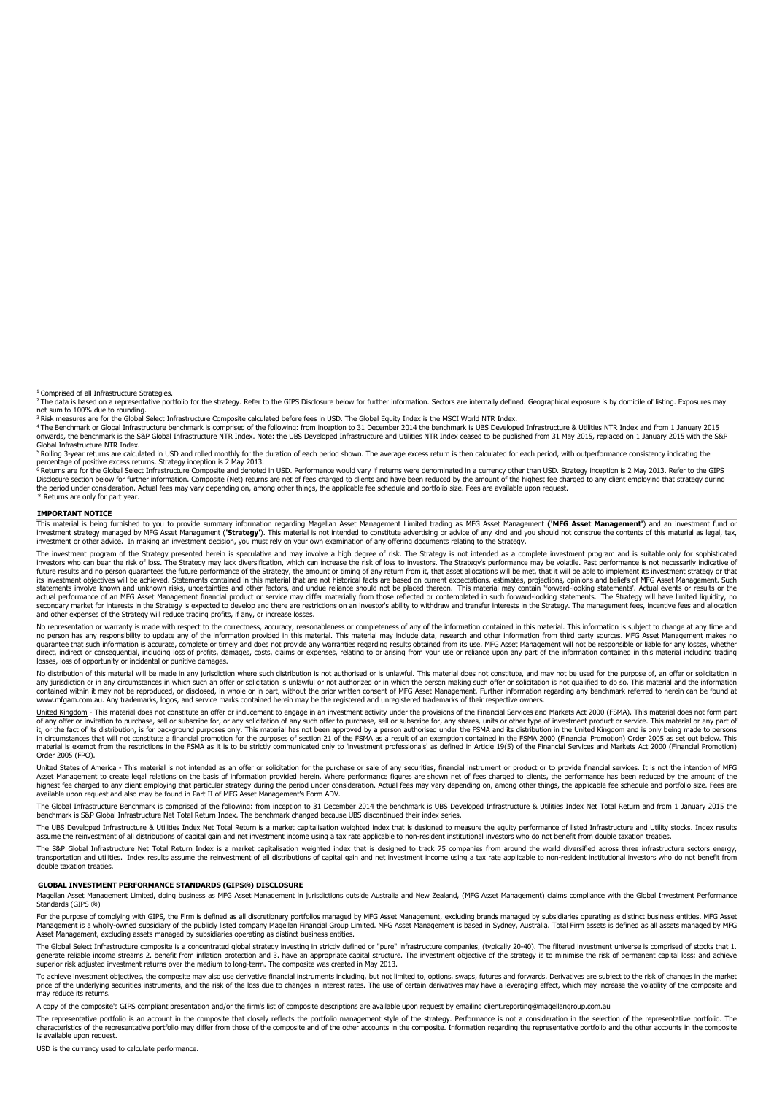<sup>1</sup> Comprised of all Infrastructure Strategies.

<sup>2</sup> The data is based on a representative portfolio for the strategy. Refer to the GIPS Disclosure below for further information. Sectors are internally defined. Geographical exposure is by domicile of listing. Exposures m not sum to 100% due to rounding.

<sup>3</sup> Risk measures are for the Global Select Infrastructure Composite calculated before fees in USD. The Global Equity Index is the MSCI World NTR Index, enley Mark Inters are form the Mark and from 1 January 2015<br>\* The Ben Global Infrastructure NTR Index.

is a secure the state of calculated in USD and rolled monthly for the duration of each period shown. The average excess return is then calculated for each period, with outperformance consistency indicating the Rolling 3-ye

percentage of positive excess returns. Strategy inception is 2 May 2013.<br><sup>6</sup> Returns are for the Global Select Infrastructure Composite and denoted in USD. Performance would vary if returns were denominated in a currency o Disclosure section below for further information. Composite (Net) returns are net of fees charged to clients and have been reduced by the amount of the highest fee charged to any client employing that strategy during<br>the p \* Returns are only for part year.

#### **IMPORTANT NOTICE**

This material is being furnished to you to provide summary information regarding Magellan Asset Management Limited trading as MFG Asset Management ('MFG Asset Management') and an investment fund or investment strategy managed by MFG Asset Management (**'Strategy'**). This material is not intended to constitute advertising or advice of any kind and you should not construe the contents of this material as legal, tax, investment or other advice. In making an investment decision, you must rely on your own examination of any offering documents relating to the Strategy.

The investment program of the Strategy presented herein is speculative and may involve a high degree of risk. The Strategy is not intended as a complete investment program and is suitable only for sophisticated investors who can bear the risk of loss. The Strategy may lack diversification, which can increase the risk of loss to investors. The Strategy's performance may be volatile. Past performance is not necessarily indicative o future results and no person guarantees the future performance of the Strategy, the amount or timing of any return from it, that asset allocations will be met, that it will be able to implement its investment strategy or t actual performance of an MFG Asset Management financial product or service may differ materially from those reflected or contemplated in such forward-looking statements. The Strategy will have limited liquidity, no lary market for interests in the Strategy is expected to develop and there are restrictions on an investor's ability to withdraw and transfer interests in the Strategy. The management fees, incentive fees and allocation and other expenses of the Strategy will reduce trading profits, if any, or increase losses.

No representation or warranty is made with respect to the correctness, accuracy, reasonableness or completeness of any of the information contained in this material. This information is subject to change at any time and on direct, indirect or consequential, including loss of profits, damages, costs, claims or expenses, relating to or arising from your use or reliance upon any part of the information contained in this material including tradi losses, loss of opportunity or incidental or punitive damages.

No distribution of this material will be made in any jurisdiction where such distribution is not authorised or is unlawful. This material does not constitute, and may not be used for the purpose of, an offer or solicitatio contained within it may not be reproduced, or disclosed, in whole or in part, without the prior written consent of MFG Asset Management. Further information regarding any benchmark referred to herein can be found at www.mfgam.com.au. Any trademarks, logos, and service marks contained herein may be the registered and unregistered trademarks of their respective owners.

United Kingdom - This material does not constitute an offer or inducement to engage in an investment activity under the provisions of the Financial Services and Markets Act 2000 (FSMA). This material does not form part of any offer or invitation to purchase, sell or subscribe for, or any solicitation of any such offer to purchase, sell or subscribe for, any shares, units or other type of investment product or service. This material or an material is exempt from the restrictions in the FSMA as it is to be strictly communicated only to 'investment professionals' as defined in Article 19(5) of the Financial Services and Markets Act 2000 (Financial Promotion) Order 2005 (FPO).

<u>United States of America</u> - This material is not intended as an offer or solicitation for the purchase or sale of any securities, financial instrument or product or to provide financial services. It is not the intention o available upon request and also may be found in Part II of MFG Asset Management's Form ADV.

The Global Infrastructure Benchmark is comprised of the following: from inception to 31 December 2014 the benchmark is UBS Developed Infrastructure & Utilities Index Net Total Return and from 1 January 2015 the benchmark is S&P Global Infrastructure Net Total Return Index. The benchmark changed because UBS discontinued their index series.

The UBS Developed Infrastructure & Utilities Index Net Total Return is a market capitalisation weighted index that is designed to measure the equity performance of listed Infrastructure and Utility stocks. Index results assume the reinvestment of all distributions of capital gain and net investment income using a tax rate applicable to non-resident institutional investors who do not benefit from double taxation treaties.

The S&P Global Infrastructure Net Total Return Index is a market capitalisation weighted index that is designed to track 75 companies from around the world diversified across three infrastructure sectors energy, transportation and utilities. Index results assume the reinvestment of all distributions of capital gain and net investment income using a tax rate applicable to non-resident institutional investors who do not benefit from double taxation treaties.

#### **GLOBAL INVESTMENT PERFORMANCE STANDARDS (GIPS®) DISCLOSURE**

Magellan Asset Management Limited, doing business as MFG Asset Management in jurisdictions outside Australia and New Zealand, (MFG Asset Management) claims compliance with the Global Investment Performance Standards (GIPS ®)

For the purpose of complying with GIPS, the Firm is defined as all discretionary portfolios managed by MFG Asset Management, excluding brands managed by subsidiaries operating as distinct business entities. MFG Asset Management is a wholly-owned subsidiary of the publicly listed company Magellan Financial Group Limited. MFG Asset Management is based in Sydney, Australia. Total Firm assets is defined as all assets managed by MFG Asset Management, excluding assets managed by subsidiaries operating as distinct business entities.

The Global Select Infrastructure composite is a concentrated global strategy investing in strictly defined or "pure" infrastructure companies, (typically 20-40). The filtered investment universe is comprised of stocks that

To achieve investment objectives, the composite may also use derivative financial instruments including, but not limited to, options, swaps, futures and forwards. Derivatives are subject to the risk of changes in the marke may reduce its returns.

A copy of the composite's GIPS compliant presentation and/or the firm's list of composite descriptions are available upon request by emailing client.reporting@magellangroup.com.au

The representative portfolio is an account in the composite that closely reflects the portfolio management style of the strategy. Performance is not a consideration in the selection of the representative portfolio. The characteristics of the representative portfolio may differ from those of the composite and of the other accounts in the composite. Information regarding the representative portfolio and the other accounts in the composite is available upon request.

USD is the currency used to calculate performance.